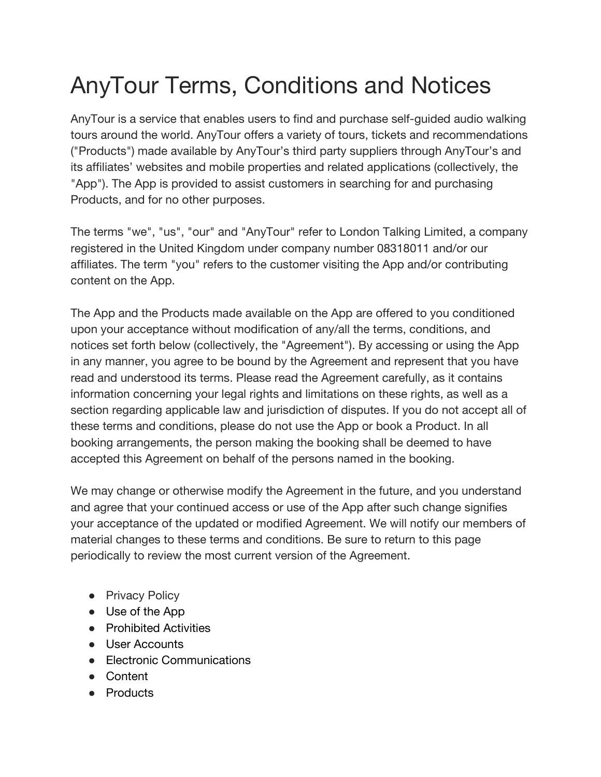# AnyTour Terms, Conditions and Notices

AnyTour is a service that enables users to find and purchase self-guided audio walking tours around the world. AnyTour offers a variety of tours, tickets and recommendations ("Products") made available by AnyTour's third party suppliers through AnyTour's and its affiliates' websites and mobile properties and related applications (collectively, the "App"). The App is provided to assist customers in searching for and purchasing Products, and for no other purposes.

The terms "we", "us", "our" and "AnyTour" refer to London Talking Limited, a company registered in the United Kingdom under company number 08318011 and/or our affiliates. The term "you" refers to the customer visiting the App and/or contributing content on the App.

The App and the Products made available on the App are offered to you conditioned upon your acceptance without modification of any/all the terms, conditions, and notices set forth below (collectively, the "Agreement"). By accessing or using the App in any manner, you agree to be bound by the Agreement and represent that you have read and understood its terms. Please read the Agreement carefully, as it contains information concerning your legal rights and limitations on these rights, as well as a section regarding applicable law and jurisdiction of disputes. If you do not accept all of these terms and conditions, please do not use the App or book a Product. In all booking arrangements, the person making the booking shall be deemed to have accepted this Agreement on behalf of the persons named in the booking.

We may change or otherwise modify the Agreement in the future, and you understand and agree that your continued access or use of the App after such change signifies your acceptance of the updated or modified Agreement. We will notify our members of material changes to these terms and conditions. Be sure to return to this page periodically to review the most current version of the Agreement.

- Privacy Policy
- Use of the App
- Prohibited Activities
- User Accounts
- Electronic Communications
- Content
- Products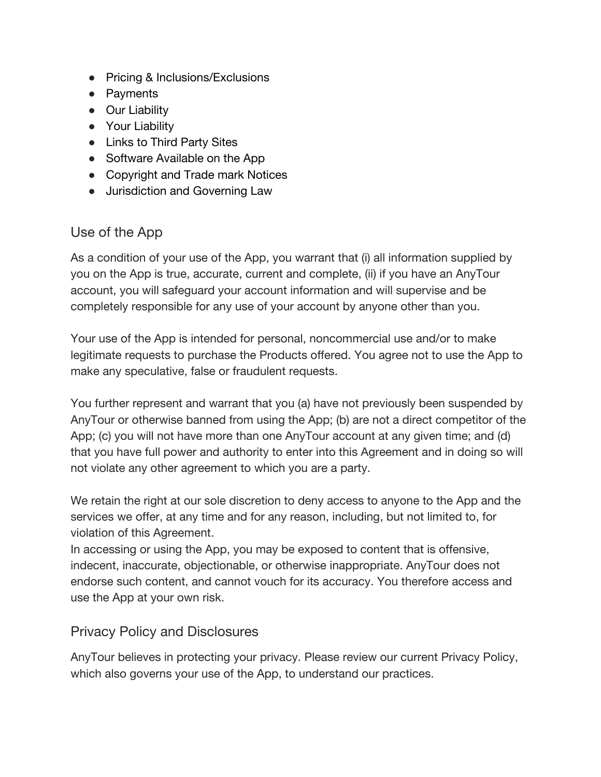- Pricing & Inclusions/Exclusions
- Payments
- Our Liability
- Your Liability
- Links to Third Party Sites
- Software Available on the App
- Copyright and Trade mark Notices
- Jurisdiction and Governing Law

#### Use of the App

As a condition of your use of the App, you warrant that (i) all information supplied by you on the App is true, accurate, current and complete, (ii) if you have an AnyTour account, you will safeguard your account information and will supervise and be completely responsible for any use of your account by anyone other than you.

Your use of the App is intended for personal, noncommercial use and/or to make legitimate requests to purchase the Products offered. You agree not to use the App to make any speculative, false or fraudulent requests.

You further represent and warrant that you (a) have not previously been suspended by AnyTour or otherwise banned from using the App; (b) are not a direct competitor of the App; (c) you will not have more than one AnyTour account at any given time; and (d) that you have full power and authority to enter into this Agreement and in doing so will not violate any other agreement to which you are a party.

We retain the right at our sole discretion to deny access to anyone to the App and the services we offer, at any time and for any reason, including, but not limited to, for violation of this Agreement.

In accessing or using the App, you may be exposed to content that is offensive, indecent, inaccurate, objectionable, or otherwise inappropriate. AnyTour does not endorse such content, and cannot vouch for its accuracy. You therefore access and use the App at your own risk.

#### Privacy Policy and Disclosures

AnyTour believes in protecting your privacy. Please review our current Privacy Policy, which also governs your use of the App, to understand our practices.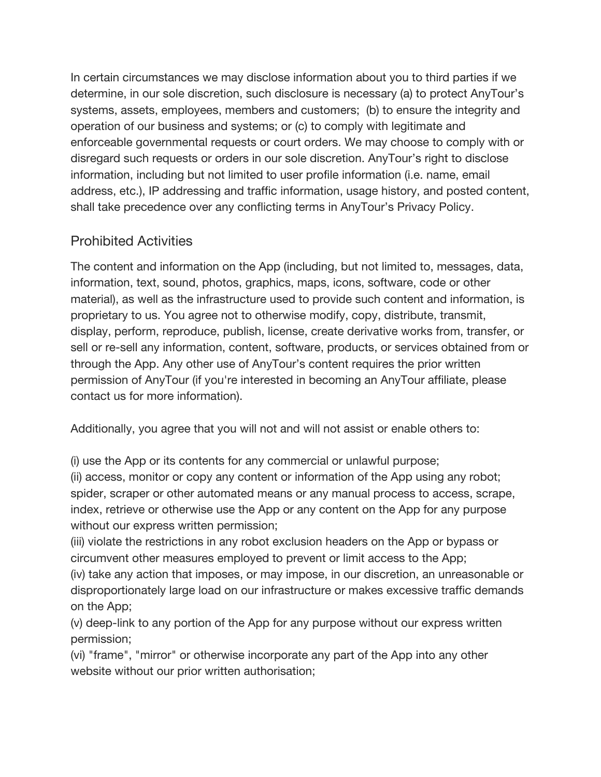In certain circumstances we may disclose information about you to third parties if we determine, in our sole discretion, such disclosure is necessary (a) to protect AnyTour's systems, assets, employees, members and customers; (b) to ensure the integrity and operation of our business and systems; or (c) to comply with legitimate and enforceable governmental requests or court orders. We may choose to comply with or disregard such requests or orders in our sole discretion. AnyTour's right to disclose information, including but not limited to user profile information (i.e. name, email address, etc.), IP addressing and traffic information, usage history, and posted content, shall take precedence over any conflicting terms in AnyTour's Privacy Policy.

### Prohibited Activities

The content and information on the App (including, but not limited to, messages, data, information, text, sound, photos, graphics, maps, icons, software, code or other material), as well as the infrastructure used to provide such content and information, is proprietary to us. You agree not to otherwise modify, copy, distribute, transmit, display, perform, reproduce, publish, license, create derivative works from, transfer, or sell or re-sell any information, content, software, products, or services obtained from or through the App. Any other use of AnyTour's content requires the prior written permission of AnyTour (if you're interested in becoming an AnyTour affiliate, please contact us for more information).

Additionally, you agree that you will not and will not assist or enable others to:

(i) use the App or its contents for any commercial or unlawful purpose;

(ii) access, monitor or copy any content or information of the App using any robot; spider, scraper or other automated means or any manual process to access, scrape, index, retrieve or otherwise use the App or any content on the App for any purpose without our express written permission;

(iii) violate the restrictions in any robot exclusion headers on the App or bypass or circumvent other measures employed to prevent or limit access to the App;

(iv) take any action that imposes, or may impose, in our discretion, an unreasonable or disproportionately large load on our infrastructure or makes excessive traffic demands on the App;

(v) deep-link to any portion of the App for any purpose without our express written permission;

(vi) "frame", "mirror" or otherwise incorporate any part of the App into any other website without our prior written authorisation;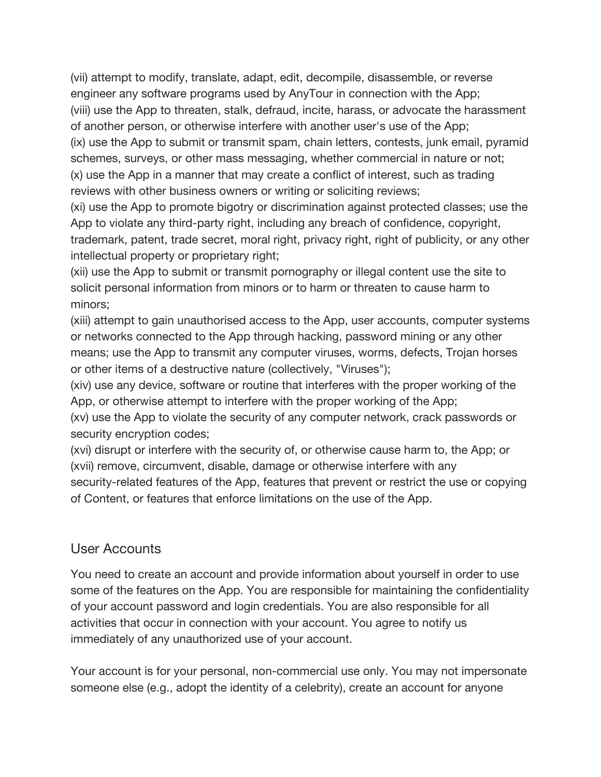(vii) attempt to modify, translate, adapt, edit, decompile, disassemble, or reverse engineer any software programs used by AnyTour in connection with the App; (viii) use the App to threaten, stalk, defraud, incite, harass, or advocate the harassment of another person, or otherwise interfere with another user's use of the App; (ix) use the App to submit or transmit spam, chain letters, contests, junk email, pyramid

schemes, surveys, or other mass messaging, whether commercial in nature or not; (x) use the App in a manner that may create a conflict of interest, such as trading reviews with other business owners or writing or soliciting reviews;

(xi) use the App to promote bigotry or discrimination against protected classes; use the App to violate any third-party right, including any breach of confidence, copyright, trademark, patent, trade secret, moral right, privacy right, right of publicity, or any other intellectual property or proprietary right;

(xii) use the App to submit or transmit pornography or illegal content use the site to solicit personal information from minors or to harm or threaten to cause harm to minors;

(xiii) attempt to gain unauthorised access to the App, user accounts, computer systems or networks connected to the App through hacking, password mining or any other means; use the App to transmit any computer viruses, worms, defects, Trojan horses or other items of a destructive nature (collectively, "Viruses");

(xiv) use any device, software or routine that interferes with the proper working of the App, or otherwise attempt to interfere with the proper working of the App;

(xv) use the App to violate the security of any computer network, crack passwords or security encryption codes;

(xvi) disrupt or interfere with the security of, or otherwise cause harm to, the App; or (xvii) remove, circumvent, disable, damage or otherwise interfere with any security-related features of the App, features that prevent or restrict the use or copying of Content, or features that enforce limitations on the use of the App.

#### User Accounts

You need to create an account and provide information about yourself in order to use some of the features on the App. You are responsible for maintaining the confidentiality of your account password and login credentials. You are also responsible for all activities that occur in connection with your account. You agree to notify us immediately of any unauthorized use of your account.

Your account is for your personal, non-commercial use only. You may not impersonate someone else (e.g., adopt the identity of a celebrity), create an account for anyone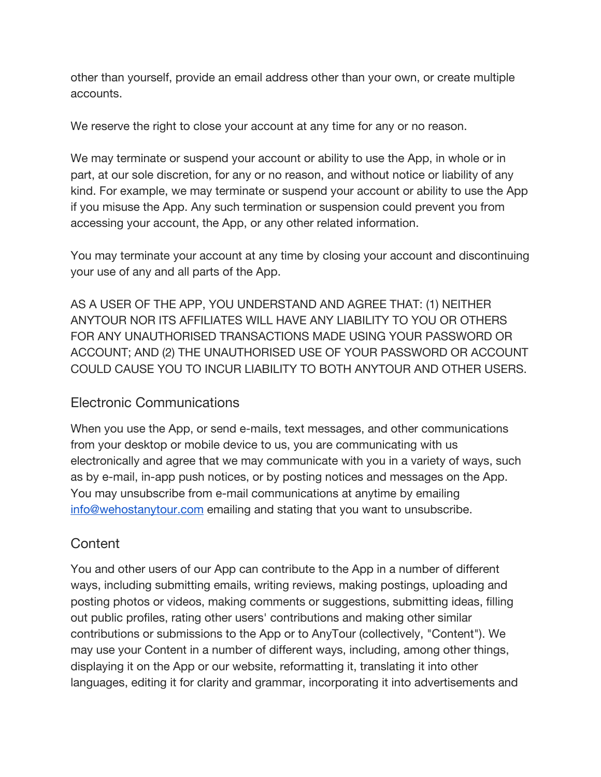other than yourself, provide an email address other than your own, or create multiple accounts.

We reserve the right to close your account at any time for any or no reason.

We may terminate or suspend your account or ability to use the App, in whole or in part, at our sole discretion, for any or no reason, and without notice or liability of any kind. For example, we may terminate or suspend your account or ability to use the App if you misuse the App. Any such termination or suspension could prevent you from accessing your account, the App, or any other related information.

You may terminate your account at any time by closing your account and discontinuing your use of any and all parts of the App.

AS A USER OF THE APP, YOU UNDERSTAND AND AGREE THAT: (1) NEITHER ANYTOUR NOR ITS AFFILIATES WILL HAVE ANY LIABILITY TO YOU OR OTHERS FOR ANY UNAUTHORISED TRANSACTIONS MADE USING YOUR PASSWORD OR ACCOUNT; AND (2) THE UNAUTHORISED USE OF YOUR PASSWORD OR ACCOUNT COULD CAUSE YOU TO INCUR LIABILITY TO BOTH ANYTOUR AND OTHER USERS.

### Electronic Communications

When you use the App, or send e-mails, text messages, and other communications from your desktop or mobile device to us, you are communicating with us electronically and agree that we may communicate with you in a variety of ways, such as by e-mail, in-app push notices, or by posting notices and messages on the App. You may unsubscribe from e-mail communications at anytime by emailing [info@wehostanytour.com](mailto:info@wehostanytour.com) emailing and stating that you want to unsubscribe.

### **Content**

You and other users of our App can contribute to the App in a number of different ways, including submitting emails, writing reviews, making postings, uploading and posting photos or videos, making comments or suggestions, submitting ideas, filling out public profiles, rating other users' contributions and making other similar contributions or submissions to the App or to AnyTour (collectively, "Content"). We may use your Content in a number of different ways, including, among other things, displaying it on the App or our website, reformatting it, translating it into other languages, editing it for clarity and grammar, incorporating it into advertisements and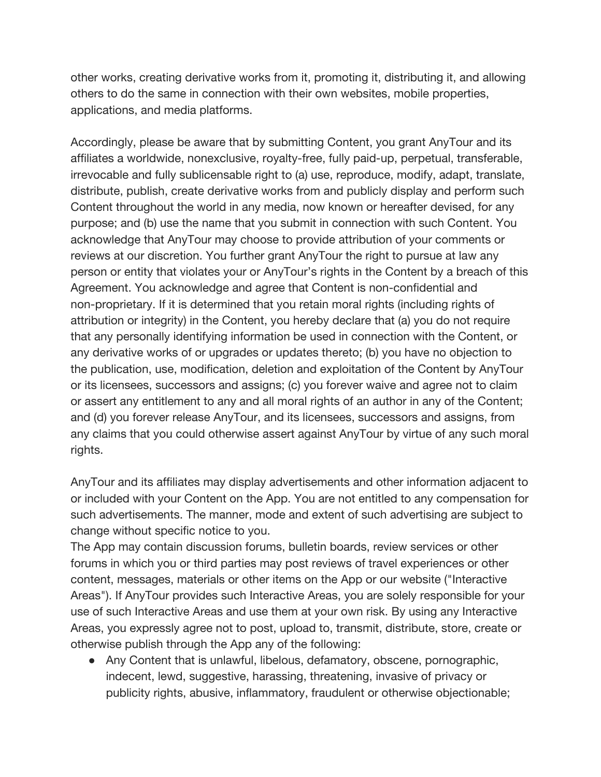other works, creating derivative works from it, promoting it, distributing it, and allowing others to do the same in connection with their own websites, mobile properties, applications, and media platforms.

Accordingly, please be aware that by submitting Content, you grant AnyTour and its affiliates a worldwide, nonexclusive, royalty-free, fully paid-up, perpetual, transferable, irrevocable and fully sublicensable right to (a) use, reproduce, modify, adapt, translate, distribute, publish, create derivative works from and publicly display and perform such Content throughout the world in any media, now known or hereafter devised, for any purpose; and (b) use the name that you submit in connection with such Content. You acknowledge that AnyTour may choose to provide attribution of your comments or reviews at our discretion. You further grant AnyTour the right to pursue at law any person or entity that violates your or AnyTour's rights in the Content by a breach of this Agreement. You acknowledge and agree that Content is non-confidential and non-proprietary. If it is determined that you retain moral rights (including rights of attribution or integrity) in the Content, you hereby declare that (a) you do not require that any personally identifying information be used in connection with the Content, or any derivative works of or upgrades or updates thereto; (b) you have no objection to the publication, use, modification, deletion and exploitation of the Content by AnyTour or its licensees, successors and assigns; (c) you forever waive and agree not to claim or assert any entitlement to any and all moral rights of an author in any of the Content; and (d) you forever release AnyTour, and its licensees, successors and assigns, from any claims that you could otherwise assert against AnyTour by virtue of any such moral rights.

AnyTour and its affiliates may display advertisements and other information adjacent to or included with your Content on the App. You are not entitled to any compensation for such advertisements. The manner, mode and extent of such advertising are subject to change without specific notice to you.

The App may contain discussion forums, bulletin boards, review services or other forums in which you or third parties may post reviews of travel experiences or other content, messages, materials or other items on the App or our website ("Interactive Areas"). If AnyTour provides such Interactive Areas, you are solely responsible for your use of such Interactive Areas and use them at your own risk. By using any Interactive Areas, you expressly agree not to post, upload to, transmit, distribute, store, create or otherwise publish through the App any of the following:

• Any Content that is unlawful, libelous, defamatory, obscene, pornographic, indecent, lewd, suggestive, harassing, threatening, invasive of privacy or publicity rights, abusive, inflammatory, fraudulent or otherwise objectionable;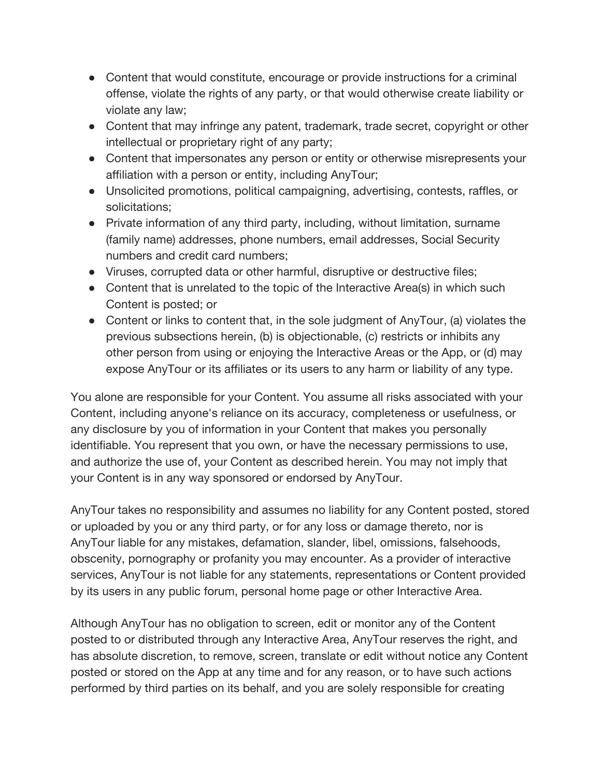- Content that would constitute, encourage or provide instructions for a criminal offense, violate the rights of any party, or that would otherwise create liability or violate any law;
- Content that may infringe any patent, trademark, trade secret, copyright or other intellectual or proprietary right of any party;
- Content that impersonates any person or entity or otherwise misrepresents your affiliation with a person or entity, including AnyTour;
- Unsolicited promotions, political campaigning, advertising, contests, raffles, or solicitations;
- Private information of any third party, including, without limitation, surname (family name) addresses, phone numbers, email addresses, Social Security numbers and credit card numbers;
- Viruses, corrupted data or other harmful, disruptive or destructive files;
- Content that is unrelated to the topic of the Interactive Area(s) in which such Content is posted; or
- Content or links to content that, in the sole judgment of AnyTour, (a) violates the previous subsections herein, (b) is objectionable, (c) restricts or inhibits any other person from using or enjoying the Interactive Areas or the App, or (d) may expose AnyTour or its affiliates or its users to any harm or liability of any type.

You alone are responsible for your Content. You assume all risks associated with your Content, including anyone's reliance on its accuracy, completeness or usefulness, or any disclosure by you of information in your Content that makes you personally identifiable. You represent that you own, or have the necessary permissions to use, and authorize the use of, your Content as described herein. You may not imply that your Content is in any way sponsored or endorsed by AnyTour.

AnyTour takes no responsibility and assumes no liability for any Content posted, stored or uploaded by you or any third party, or for any loss or damage thereto, nor is AnyTour liable for any mistakes, defamation, slander, libel, omissions, falsehoods, obscenity, pornography or profanity you may encounter. As a provider of interactive services, AnyTour is not liable for any statements, representations or Content provided by its users in any public forum, personal home page or other Interactive Area.

Although AnyTour has no obligation to screen, edit or monitor any of the Content posted to or distributed through any Interactive Area, AnyTour reserves the right, and has absolute discretion, to remove, screen, translate or edit without notice any Content posted or stored on the App at any time and for any reason, or to have such actions performed by third parties on its behalf, and you are solely responsible for creating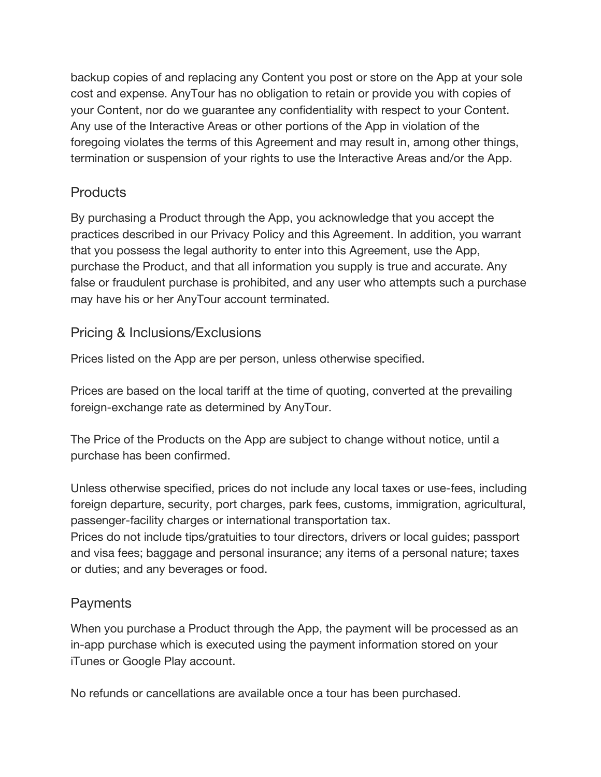backup copies of and replacing any Content you post or store on the App at your sole cost and expense. AnyTour has no obligation to retain or provide you with copies of your Content, nor do we guarantee any confidentiality with respect to your Content. Any use of the Interactive Areas or other portions of the App in violation of the foregoing violates the terms of this Agreement and may result in, among other things, termination or suspension of your rights to use the Interactive Areas and/or the App.

### **Products**

By purchasing a Product through the App, you acknowledge that you accept the practices described in our Privacy Policy and this Agreement. In addition, you warrant that you possess the legal authority to enter into this Agreement, use the App, purchase the Product, and that all information you supply is true and accurate. Any false or fraudulent purchase is prohibited, and any user who attempts such a purchase may have his or her AnyTour account terminated.

### Pricing & Inclusions/Exclusions

Prices listed on the App are per person, unless otherwise specified.

Prices are based on the local tariff at the time of quoting, converted at the prevailing foreign-exchange rate as determined by AnyTour.

The Price of the Products on the App are subject to change without notice, until a purchase has been confirmed.

Unless otherwise specified, prices do not include any local taxes or use-fees, including foreign departure, security, port charges, park fees, customs, immigration, agricultural, passenger-facility charges or international transportation tax.

Prices do not include tips/gratuities to tour directors, drivers or local guides; passport and visa fees; baggage and personal insurance; any items of a personal nature; taxes or duties; and any beverages or food.

### **Payments**

When you purchase a Product through the App, the payment will be processed as an in-app purchase which is executed using the payment information stored on your iTunes or Google Play account.

No refunds or cancellations are available once a tour has been purchased.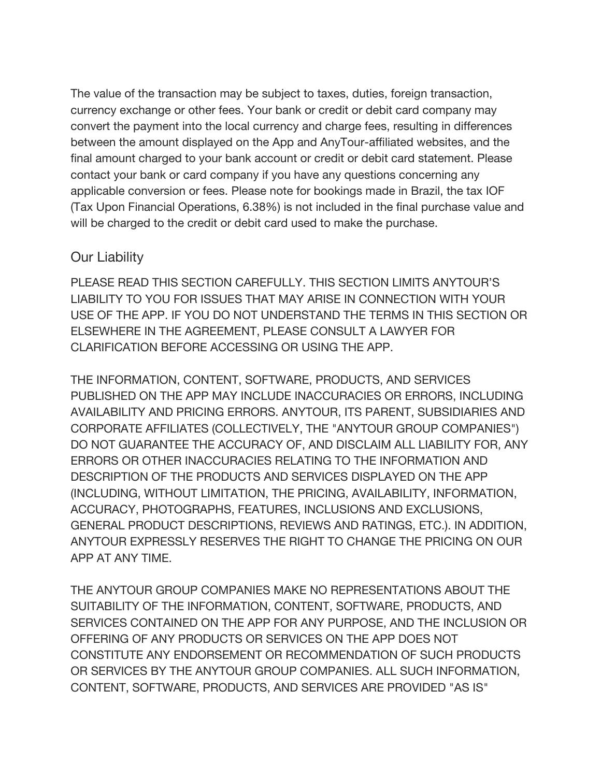The value of the transaction may be subject to taxes, duties, foreign transaction, currency exchange or other fees. Your bank or credit or debit card company may convert the payment into the local currency and charge fees, resulting in differences between the amount displayed on the App and AnyTour-affiliated websites, and the final amount charged to your bank account or credit or debit card statement. Please contact your bank or card company if you have any questions concerning any applicable conversion or fees. Please note for bookings made in Brazil, the tax IOF (Tax Upon Financial Operations, 6.38%) is not included in the final purchase value and will be charged to the credit or debit card used to make the purchase.

#### Our Liability

PLEASE READ THIS SECTION CAREFULLY. THIS SECTION LIMITS ANYTOUR'S LIABILITY TO YOU FOR ISSUES THAT MAY ARISE IN CONNECTION WITH YOUR USE OF THE APP. IF YOU DO NOT UNDERSTAND THE TERMS IN THIS SECTION OR ELSEWHERE IN THE AGREEMENT, PLEASE CONSULT A LAWYER FOR CLARIFICATION BEFORE ACCESSING OR USING THE APP.

THE INFORMATION, CONTENT, SOFTWARE, PRODUCTS, AND SERVICES PUBLISHED ON THE APP MAY INCLUDE INACCURACIES OR ERRORS, INCLUDING AVAILABILITY AND PRICING ERRORS. ANYTOUR, ITS PARENT, SUBSIDIARIES AND CORPORATE AFFILIATES (COLLECTIVELY, THE "ANYTOUR GROUP COMPANIES") DO NOT GUARANTEE THE ACCURACY OF, AND DISCLAIM ALL LIABILITY FOR, ANY ERRORS OR OTHER INACCURACIES RELATING TO THE INFORMATION AND DESCRIPTION OF THE PRODUCTS AND SERVICES DISPLAYED ON THE APP (INCLUDING, WITHOUT LIMITATION, THE PRICING, AVAILABILITY, INFORMATION, ACCURACY, PHOTOGRAPHS, FEATURES, INCLUSIONS AND EXCLUSIONS, GENERAL PRODUCT DESCRIPTIONS, REVIEWS AND RATINGS, ETC.). IN ADDITION, ANYTOUR EXPRESSLY RESERVES THE RIGHT TO CHANGE THE PRICING ON OUR APP AT ANY TIME.

THE ANYTOUR GROUP COMPANIES MAKE NO REPRESENTATIONS ABOUT THE SUITABILITY OF THE INFORMATION, CONTENT, SOFTWARE, PRODUCTS, AND SERVICES CONTAINED ON THE APP FOR ANY PURPOSE, AND THE INCLUSION OR OFFERING OF ANY PRODUCTS OR SERVICES ON THE APP DOES NOT CONSTITUTE ANY ENDORSEMENT OR RECOMMENDATION OF SUCH PRODUCTS OR SERVICES BY THE ANYTOUR GROUP COMPANIES. ALL SUCH INFORMATION, CONTENT, SOFTWARE, PRODUCTS, AND SERVICES ARE PROVIDED "AS IS"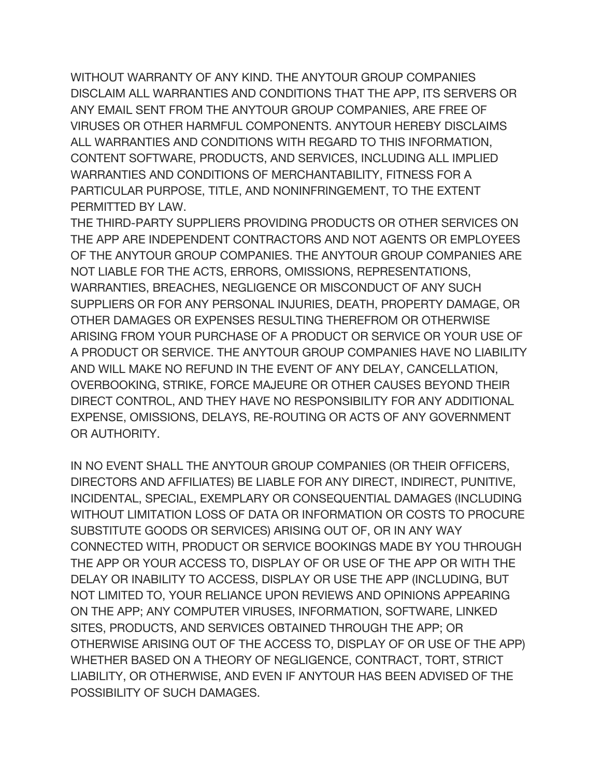WITHOUT WARRANTY OF ANY KIND. THE ANYTOUR GROUP COMPANIES DISCLAIM ALL WARRANTIES AND CONDITIONS THAT THE APP, ITS SERVERS OR ANY EMAIL SENT FROM THE ANYTOUR GROUP COMPANIES, ARE FREE OF VIRUSES OR OTHER HARMFUL COMPONENTS. ANYTOUR HEREBY DISCLAIMS ALL WARRANTIES AND CONDITIONS WITH REGARD TO THIS INFORMATION, CONTENT SOFTWARE, PRODUCTS, AND SERVICES, INCLUDING ALL IMPLIED WARRANTIES AND CONDITIONS OF MERCHANTABILITY, FITNESS FOR A PARTICULAR PURPOSE, TITLE, AND NONINFRINGEMENT, TO THE EXTENT PERMITTED BY LAW.

THE THIRD-PARTY SUPPLIERS PROVIDING PRODUCTS OR OTHER SERVICES ON THE APP ARE INDEPENDENT CONTRACTORS AND NOT AGENTS OR EMPLOYEES OF THE ANYTOUR GROUP COMPANIES. THE ANYTOUR GROUP COMPANIES ARE NOT LIABLE FOR THE ACTS, ERRORS, OMISSIONS, REPRESENTATIONS, WARRANTIES, BREACHES, NEGLIGENCE OR MISCONDUCT OF ANY SUCH SUPPLIERS OR FOR ANY PERSONAL INJURIES, DEATH, PROPERTY DAMAGE, OR OTHER DAMAGES OR EXPENSES RESULTING THEREFROM OR OTHERWISE ARISING FROM YOUR PURCHASE OF A PRODUCT OR SERVICE OR YOUR USE OF A PRODUCT OR SERVICE. THE ANYTOUR GROUP COMPANIES HAVE NO LIABILITY AND WILL MAKE NO REFUND IN THE EVENT OF ANY DELAY, CANCELLATION, OVERBOOKING, STRIKE, FORCE MAJEURE OR OTHER CAUSES BEYOND THEIR DIRECT CONTROL, AND THEY HAVE NO RESPONSIBILITY FOR ANY ADDITIONAL EXPENSE, OMISSIONS, DELAYS, RE-ROUTING OR ACTS OF ANY GOVERNMENT OR AUTHORITY.

IN NO EVENT SHALL THE ANYTOUR GROUP COMPANIES (OR THEIR OFFICERS, DIRECTORS AND AFFILIATES) BE LIABLE FOR ANY DIRECT, INDIRECT, PUNITIVE, INCIDENTAL, SPECIAL, EXEMPLARY OR CONSEQUENTIAL DAMAGES (INCLUDING WITHOUT LIMITATION LOSS OF DATA OR INFORMATION OR COSTS TO PROCURE SUBSTITUTE GOODS OR SERVICES) ARISING OUT OF, OR IN ANY WAY CONNECTED WITH, PRODUCT OR SERVICE BOOKINGS MADE BY YOU THROUGH THE APP OR YOUR ACCESS TO, DISPLAY OF OR USE OF THE APP OR WITH THE DELAY OR INABILITY TO ACCESS, DISPLAY OR USE THE APP (INCLUDING, BUT NOT LIMITED TO, YOUR RELIANCE UPON REVIEWS AND OPINIONS APPEARING ON THE APP; ANY COMPUTER VIRUSES, INFORMATION, SOFTWARE, LINKED SITES, PRODUCTS, AND SERVICES OBTAINED THROUGH THE APP; OR OTHERWISE ARISING OUT OF THE ACCESS TO, DISPLAY OF OR USE OF THE APP) WHETHER BASED ON A THEORY OF NEGLIGENCE, CONTRACT, TORT, STRICT LIABILITY, OR OTHERWISE, AND EVEN IF ANYTOUR HAS BEEN ADVISED OF THE POSSIBILITY OF SUCH DAMAGES.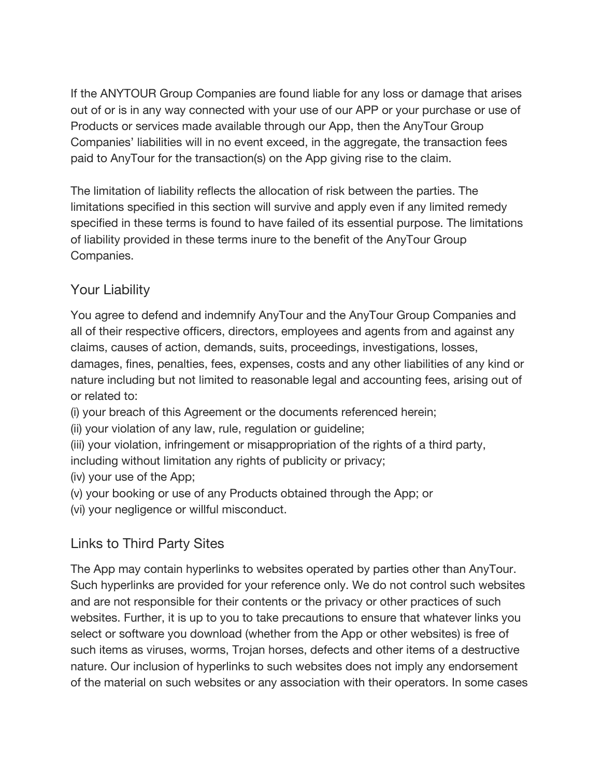If the ANYTOUR Group Companies are found liable for any loss or damage that arises out of or is in any way connected with your use of our APP or your purchase or use of Products or services made available through our App, then the AnyTour Group Companies' liabilities will in no event exceed, in the aggregate, the transaction fees paid to AnyTour for the transaction(s) on the App giving rise to the claim.

The limitation of liability reflects the allocation of risk between the parties. The limitations specified in this section will survive and apply even if any limited remedy specified in these terms is found to have failed of its essential purpose. The limitations of liability provided in these terms inure to the benefit of the AnyTour Group Companies.

### Your Liability

You agree to defend and indemnify AnyTour and the AnyTour Group Companies and all of their respective officers, directors, employees and agents from and against any claims, causes of action, demands, suits, proceedings, investigations, losses, damages, fines, penalties, fees, expenses, costs and any other liabilities of any kind or nature including but not limited to reasonable legal and accounting fees, arising out of or related to:

(i) your breach of this Agreement or the documents referenced herein;

(ii) your violation of any law, rule, regulation or guideline;

(iii) your violation, infringement or misappropriation of the rights of a third party, including without limitation any rights of publicity or privacy;

(iv) your use of the App;

(v) your booking or use of any Products obtained through the App; or

(vi) your negligence or willful misconduct.

## Links to Third Party Sites

The App may contain hyperlinks to websites operated by parties other than AnyTour. Such hyperlinks are provided for your reference only. We do not control such websites and are not responsible for their contents or the privacy or other practices of such websites. Further, it is up to you to take precautions to ensure that whatever links you select or software you download (whether from the App or other websites) is free of such items as viruses, worms, Trojan horses, defects and other items of a destructive nature. Our inclusion of hyperlinks to such websites does not imply any endorsement of the material on such websites or any association with their operators. In some cases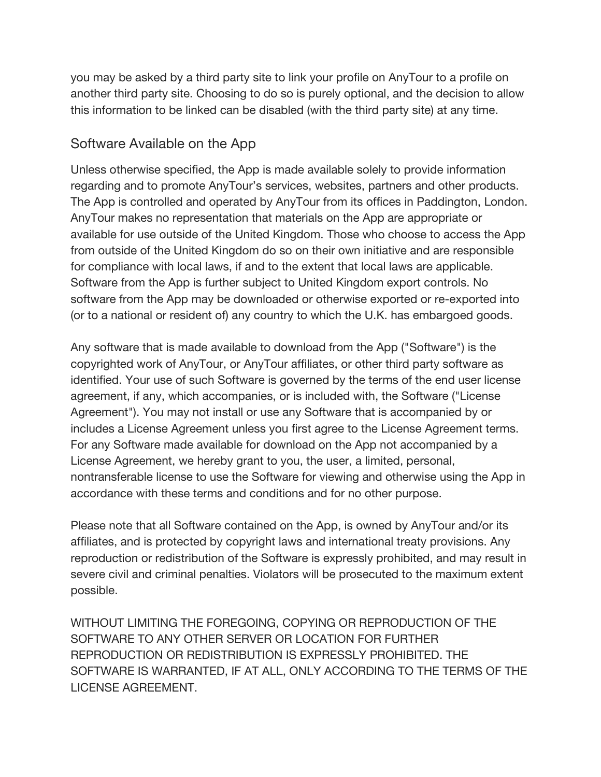you may be asked by a third party site to link your profile on AnyTour to a profile on another third party site. Choosing to do so is purely optional, and the decision to allow this information to be linked can be disabled (with the third party site) at any time.

#### Software Available on the App

Unless otherwise specified, the App is made available solely to provide information regarding and to promote AnyTour's services, websites, partners and other products. The App is controlled and operated by AnyTour from its offices in Paddington, London. AnyTour makes no representation that materials on the App are appropriate or available for use outside of the United Kingdom. Those who choose to access the App from outside of the United Kingdom do so on their own initiative and are responsible for compliance with local laws, if and to the extent that local laws are applicable. Software from the App is further subject to United Kingdom export controls. No software from the App may be downloaded or otherwise exported or re-exported into (or to a national or resident of) any country to which the U.K. has embargoed goods.

Any software that is made available to download from the App ("Software") is the copyrighted work of AnyTour, or AnyTour affiliates, or other third party software as identified. Your use of such Software is governed by the terms of the end user license agreement, if any, which accompanies, or is included with, the Software ("License Agreement"). You may not install or use any Software that is accompanied by or includes a License Agreement unless you first agree to the License Agreement terms. For any Software made available for download on the App not accompanied by a License Agreement, we hereby grant to you, the user, a limited, personal, nontransferable license to use the Software for viewing and otherwise using the App in accordance with these terms and conditions and for no other purpose.

Please note that all Software contained on the App, is owned by AnyTour and/or its affiliates, and is protected by copyright laws and international treaty provisions. Any reproduction or redistribution of the Software is expressly prohibited, and may result in severe civil and criminal penalties. Violators will be prosecuted to the maximum extent possible.

WITHOUT LIMITING THE FOREGOING, COPYING OR REPRODUCTION OF THE SOFTWARE TO ANY OTHER SERVER OR LOCATION FOR FURTHER REPRODUCTION OR REDISTRIBUTION IS EXPRESSLY PROHIBITED. THE SOFTWARE IS WARRANTED, IF AT ALL, ONLY ACCORDING TO THE TERMS OF THE LICENSE AGREEMENT.